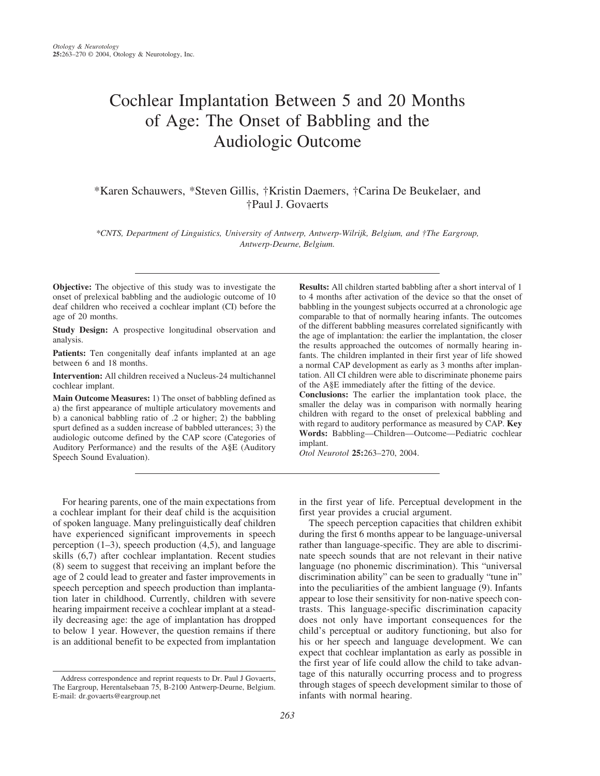# Cochlear Implantation Between 5 and 20 Months of Age: The Onset of Babbling and the Audiologic Outcome

# \*Karen Schauwers, \*Steven Gillis, †Kristin Daemers, †Carina De Beukelaer, and †Paul J. Govaerts

*\*CNTS, Department of Linguistics, University of Antwerp, Antwerp-Wilrijk, Belgium, and †The Eargroup, Antwerp-Deurne, Belgium.*

**Objective:** The objective of this study was to investigate the onset of prelexical babbling and the audiologic outcome of 10 deaf children who received a cochlear implant (CI) before the age of 20 months.

**Study Design:** A prospective longitudinal observation and analysis.

Patients: Ten congenitally deaf infants implanted at an age between 6 and 18 months.

**Intervention:** All children received a Nucleus-24 multichannel cochlear implant.

**Main Outcome Measures:** 1) The onset of babbling defined as a) the first appearance of multiple articulatory movements and b) a canonical babbling ratio of .2 or higher; 2) the babbling spurt defined as a sudden increase of babbled utterances; 3) the audiologic outcome defined by the CAP score (Categories of Auditory Performance) and the results of the A§E (Auditory Speech Sound Evaluation).

**Results:** All children started babbling after a short interval of 1 to 4 months after activation of the device so that the onset of babbling in the youngest subjects occurred at a chronologic age comparable to that of normally hearing infants. The outcomes of the different babbling measures correlated significantly with the age of implantation: the earlier the implantation, the closer the results approached the outcomes of normally hearing infants. The children implanted in their first year of life showed a normal CAP development as early as 3 months after implantation. All CI children were able to discriminate phoneme pairs of the A§E immediately after the fitting of the device.

**Conclusions:** The earlier the implantation took place, the smaller the delay was in comparison with normally hearing children with regard to the onset of prelexical babbling and with regard to auditory performance as measured by CAP. **Key Words:** Babbling—Children—Outcome—Pediatric cochlear implant.

*Otol Neurotol* **25:**263–270, 2004.

For hearing parents, one of the main expectations from a cochlear implant for their deaf child is the acquisition of spoken language. Many prelinguistically deaf children have experienced significant improvements in speech perception  $(1-3)$ , speech production  $(4,5)$ , and language skills (6,7) after cochlear implantation. Recent studies (8) seem to suggest that receiving an implant before the age of 2 could lead to greater and faster improvements in speech perception and speech production than implantation later in childhood. Currently, children with severe hearing impairment receive a cochlear implant at a steadily decreasing age: the age of implantation has dropped to below 1 year. However, the question remains if there is an additional benefit to be expected from implantation

in the first year of life. Perceptual development in the first year provides a crucial argument.

The speech perception capacities that children exhibit during the first 6 months appear to be language-universal rather than language-specific. They are able to discriminate speech sounds that are not relevant in their native language (no phonemic discrimination). This "universal discrimination ability" can be seen to gradually "tune in" into the peculiarities of the ambient language (9). Infants appear to lose their sensitivity for non-native speech contrasts. This language-specific discrimination capacity does not only have important consequences for the child's perceptual or auditory functioning, but also for his or her speech and language development. We can expect that cochlear implantation as early as possible in the first year of life could allow the child to take advantage of this naturally occurring process and to progress through stages of speech development similar to those of infants with normal hearing.

Address correspondence and reprint requests to Dr. Paul J Govaerts, The Eargroup, Herentalsebaan 75, B-2100 Antwerp-Deurne, Belgium. E-mail: dr.govaerts@eargroup.net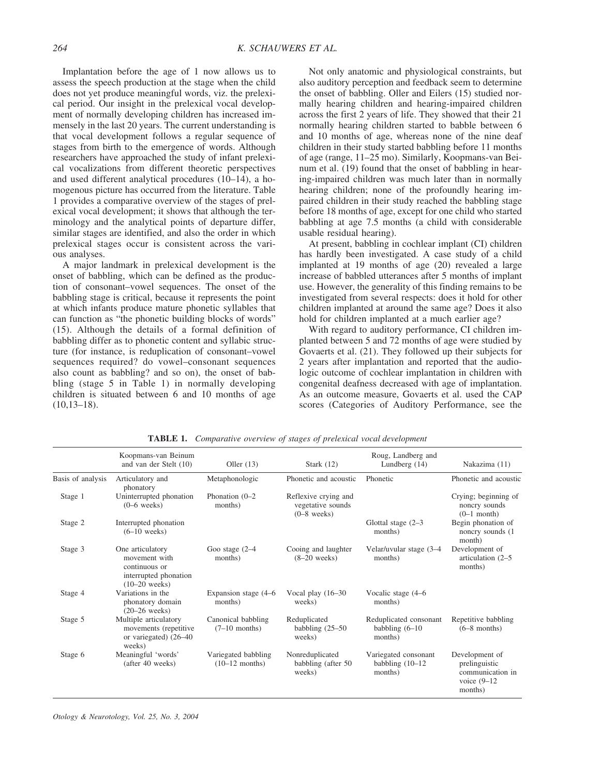Implantation before the age of 1 now allows us to assess the speech production at the stage when the child does not yet produce meaningful words, viz. the prelexical period. Our insight in the prelexical vocal development of normally developing children has increased immensely in the last 20 years. The current understanding is that vocal development follows a regular sequence of stages from birth to the emergence of words. Although researchers have approached the study of infant prelexical vocalizations from different theoretic perspectives and used different analytical procedures (10–14), a homogenous picture has occurred from the literature. Table 1 provides a comparative overview of the stages of prelexical vocal development; it shows that although the terminology and the analytical points of departure differ, similar stages are identified, and also the order in which prelexical stages occur is consistent across the various analyses.

A major landmark in prelexical development is the onset of babbling, which can be defined as the production of consonant–vowel sequences. The onset of the babbling stage is critical, because it represents the point at which infants produce mature phonetic syllables that can function as "the phonetic building blocks of words" (15). Although the details of a formal definition of babbling differ as to phonetic content and syllabic structure (for instance, is reduplication of consonant–vowel sequences required? do vowel–consonant sequences also count as babbling? and so on), the onset of babbling (stage 5 in Table 1) in normally developing children is situated between 6 and 10 months of age  $(10,13-18).$ 

Not only anatomic and physiological constraints, but also auditory perception and feedback seem to determine the onset of babbling. Oller and Eilers (15) studied normally hearing children and hearing-impaired children across the first 2 years of life. They showed that their 21 normally hearing children started to babble between 6 and 10 months of age, whereas none of the nine deaf children in their study started babbling before 11 months of age (range, 11–25 mo). Similarly, Koopmans-van Beinum et al. (19) found that the onset of babbling in hearing-impaired children was much later than in normally hearing children; none of the profoundly hearing impaired children in their study reached the babbling stage before 18 months of age, except for one child who started babbling at age 7.5 months (a child with considerable usable residual hearing).

At present, babbling in cochlear implant (CI) children has hardly been investigated. A case study of a child implanted at 19 months of age (20) revealed a large increase of babbled utterances after 5 months of implant use. However, the generality of this finding remains to be investigated from several respects: does it hold for other children implanted at around the same age? Does it also hold for children implanted at a much earlier age?

With regard to auditory performance, CI children implanted between 5 and 72 months of age were studied by Govaerts et al. (21). They followed up their subjects for 2 years after implantation and reported that the audiologic outcome of cochlear implantation in children with congenital deafness decreased with age of implantation. As an outcome measure, Govaerts et al. used the CAP scores (Categories of Auditory Performance, see the

|                   | Koopmans-van Beinum<br>and van der Stelt (10)                                                  | Oller $(13)$                            | Stark $(12)$                                               | Roug, Landberg and<br>Lundberg $(14)$                  | Nakazima (11)                                                                    |
|-------------------|------------------------------------------------------------------------------------------------|-----------------------------------------|------------------------------------------------------------|--------------------------------------------------------|----------------------------------------------------------------------------------|
| Basis of analysis | Articulatory and<br>phonatory                                                                  | Metaphonologic                          | Phonetic and acoustic                                      | Phonetic                                               | Phonetic and acoustic                                                            |
| Stage 1           | Uninterrupted phonation<br>$(0-6$ weeks)                                                       | Phonation $(0-2)$<br>months)            | Reflexive crying and<br>vegetative sounds<br>$(0-8$ weeks) |                                                        | Crying; beginning of<br>noncry sounds<br>$(0-1$ month)                           |
| Stage 2           | Interrupted phonation<br>$(6-10$ weeks)                                                        |                                         |                                                            | Glottal stage $(2-3)$<br>months)                       | Begin phonation of<br>noncry sounds (1)<br>month)                                |
| Stage 3           | One articulatory<br>movement with<br>continuous or<br>interrupted phonation<br>$(10-20$ weeks) | Goo stage $(2-4)$<br>months)            | Cooing and laughter<br>$(8-20$ weeks)                      | Velar/uvular stage (3-4<br>months)                     | Development of<br>articulation (2–5<br>months)                                   |
| Stage 4           | Variations in the<br>phonatory domain<br>$(20-26$ weeks)                                       | Expansion stage (4–6<br>months)         | Vocal play $(16-30)$<br>weeks)                             | Vocalic stage (4–6<br>months)                          |                                                                                  |
| Stage 5           | Multiple articulatory<br>movements (repetitive<br>or variegated) (26–40<br>weeks)              | Canonical babbling<br>$(7-10$ months)   | Reduplicated<br>babbling $(25-50)$<br>weeks)               | Reduplicated consonant<br>babbling $(6-10)$<br>months) | Repetitive babbling<br>$(6-8$ months)                                            |
| Stage 6           | Meaningful 'words'<br>(after 40 weeks)                                                         | Variegated babbling<br>$(10-12$ months) | Nonreduplicated<br>babbling (after 50)<br>weeks)           | Variegated consonant<br>babbling $(10-12)$<br>months)  | Development of<br>prelinguistic<br>communication in<br>voice $(9-12)$<br>months) |

**TABLE 1.** *Comparative overview of stages of prelexical vocal development*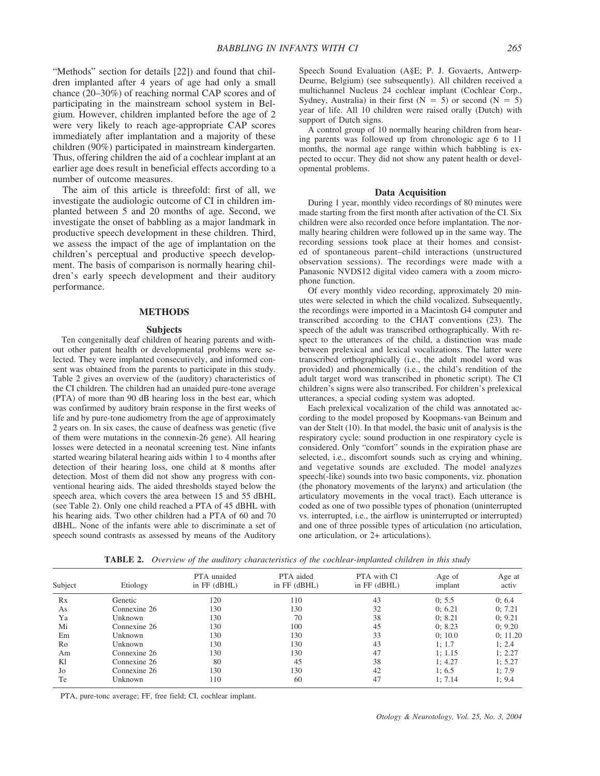"Methods" section for details [22]) and found that children implanted after 4 years of age had only a small chance (20–30%) of reaching normal CAP scores and of participating in the mainstream school system in Belgium. However, children implanted before the age of 2 were very likely to reach age-appropriate CAP scores immediately after implantation and a majority of these children (90%) participated in mainstream kindergarten. Thus, offering children the aid of a cochlear implant at an earlier age does result in beneficial effects according to a number of outcome measures.

The aim of this article is threefold: first of all, we investigate the audiologic outcome of CI in children implanted between 5 and 20 months of age. Second, we investigate the onset of babbling as a major landmark in productive speech development in these children. Third, we assess the impact of the age of implantation on the children's perceptual and productive speech development. The basis of comparison is normally hearing children's early speech development and their auditory performance.

## **METHODS**

#### **Subjects**

Ten congenitally deaf children of hearing parents and without other patent health or developmental problems were selected. They were implanted consecutively, and informed consent was obtained from the parents to participate in this study. Table 2 gives an overview of the (auditory) characteristics of the CI children. The children had an unaided pure-tone average (PTA) of more than 90 dB hearing loss in the best ear, which was confirmed by auditory brain response in the first weeks of life and by pure-tone audiometry from the age of approximately 2 years on. In six cases, the cause of deafness was genetic (five of them were mutations in the connexin-26 gene). All hearing losses were detected in a neonatal screening test. Nine infants started wearing bilateral hearing aids within 1 to 4 months after detection of their hearing loss, one child at 8 months after detection. Most of them did not show any progress with conventional hearing aids. The aided thresholds stayed below the speech area, which covers the area between 15 and 55 dBHL (see Table 2). Only one child reached a PTA of 45 dBHL with his hearing aids. Two other children had a PTA of 60 and 70 dBHL. None of the infants were able to discriminate a set of speech sound contrasts as assessed by means of the Auditory

Speech Sound Evaluation (A§E; P. J. Govaerts, Antwerp-Deurne, Belgium) (see subsequently). All children received a multichannel Nucleus 24 cochlear implant (Cochlear Corp., Sydney, Australia) in their first  $(N = 5)$  or second  $(N = 5)$ year of life. All 10 children were raised orally (Dutch) with support of Dutch signs.

A control group of 10 normally hearing children from hearing parents was followed up from chronologic age 6 to 11 months, the normal age range within which babbling is expected to occur. They did not show any patent health or developmental problems.

#### **Data Acquisition**

During 1 year, monthly video recordings of 80 minutes were made starting from the first month after activation of the CI. Six children were also recorded once before implantation. The normally hearing children were followed up in the same way. The recording sessions took place at their homes and consisted of spontaneous parent–child interactions (unstructured observation sessions). The recordings were made with a Panasonic NVDS12 digital video camera with a zoom microphone function.

Of every monthly video recording, approximately 20 minutes were selected in which the child vocalized. Subsequently, the recordings were imported in a Macintosh G4 computer and transcribed according to the CHAT conventions (23). The speech of the adult was transcribed orthographically. With respect to the utterances of the child, a distinction was made between prelexical and lexical vocalizations. The latter were transcribed orthographically (i.e., the adult model word was provided) and phonemically (i.e., the child's rendition of the adult target word was transcribed in phonetic script). The CI children's signs were also transcribed. For children's prelexical utterances, a special coding system was adopted.

Each prelexical vocalization of the child was annotated according to the model proposed by Koopmans-van Beinum and van der Stelt (10). In that model, the basic unit of analysis is the respiratory cycle: sound production in one respiratory cycle is considered. Only "comfort" sounds in the expiration phase are selected, i.e., discomfort sounds such as crying and whining, and vegetative sounds are excluded. The model analyzes speech(-like) sounds into two basic components, viz. phonation (the phonatory movements of the larynx) and articulation (the articulatory movements in the vocal tract). Each utterance is coded as one of two possible types of phonation (uninterrupted vs. interrupted, i.e., the airflow is uninterrupted or interrupted) and one of three possible types of articulation (no articulation, one articulation, or 2+ articulations).

| Subject | Etiology     | <b>PTA</b> unaided<br>in FF (dBHL) | PTA aided<br>in FF (dBHL) | PTA with Cl<br>in FF (dBHL) | Age of<br>implant | Age at<br>activ |
|---------|--------------|------------------------------------|---------------------------|-----------------------------|-------------------|-----------------|
| Rx      | Genetic      | 120                                | 110                       | 43                          | 0: 5.5            | 0:6.4           |
| As      | Connexine 26 | 130                                | 130                       | 32                          | 0:6.21            | 0: 7.21         |
| Ya      | Unknown      | 130                                | 70                        | 38                          | 0: 8.21           | 0: 9.21         |
| Mi      | Connexine 26 | 130                                | 100                       | 45                          | 0: 8.23           | 0: 9.20         |
| Em      | Unknown      | 130                                | 130                       | 33                          | 0:10.0            | 0: 11.20        |
| Ro      | Unknown      | 130                                | 130                       | 43                          | 1:1.7             | 1:2.4           |
| Am      | Connexine 26 | 130                                | 130                       | 47                          | 1:1.15            | 1:2.27          |
| K1      | Connexine 26 | 80                                 | 45                        | 38                          | 1:4.27            | 1: 5.27         |
| Jo      | Connexine 26 | 130                                | 130                       | 42                          | 1:6.5             | 1:7.9           |
| Te      | Unknown      | 110                                | 60                        | 47                          | 1: 7.14           | 1:9.4           |

**TABLE 2.** *Overview of the auditory characteristics of the cochlear-implanted children in this study*

PTA, pure-tonc average; FF, free field; CI, cochlear implant.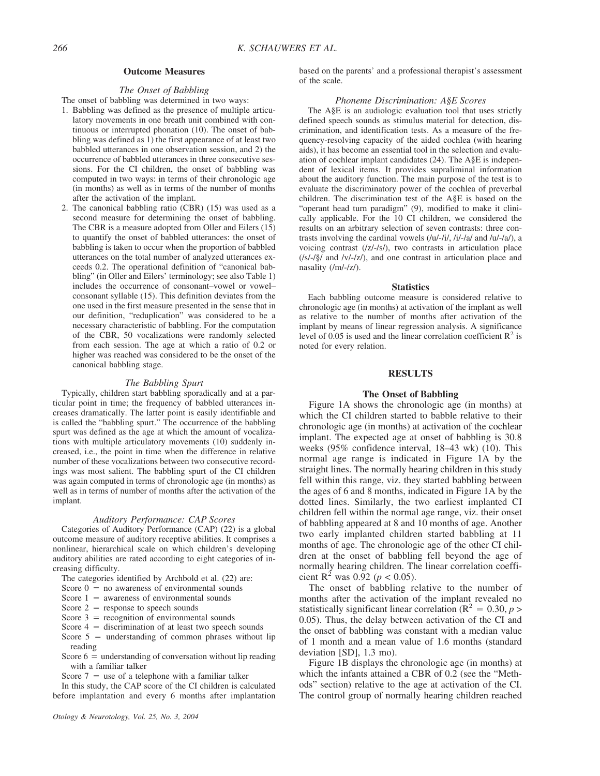#### **Outcome Measures**

# *The Onset of Babbling*

The onset of babbling was determined in two ways:

- 1. Babbling was defined as the presence of multiple articulatory movements in one breath unit combined with continuous or interrupted phonation (10). The onset of babbling was defined as 1) the first appearance of at least two babbled utterances in one observation session, and 2) the occurrence of babbled utterances in three consecutive sessions. For the CI children, the onset of babbling was computed in two ways: in terms of their chronologic age (in months) as well as in terms of the number of months after the activation of the implant.
- 2. The canonical babbling ratio (CBR) (15) was used as a second measure for determining the onset of babbling. The CBR is a measure adopted from Oller and Eilers (15) to quantify the onset of babbled utterances: the onset of babbling is taken to occur when the proportion of babbled utterances on the total number of analyzed utterances exceeds 0.2. The operational definition of "canonical babbling" (in Oller and Eilers' terminology; see also Table 1) includes the occurrence of consonant–vowel or vowel– consonant syllable (15). This definition deviates from the one used in the first measure presented in the sense that in our definition, "reduplication" was considered to be a necessary characteristic of babbling. For the computation of the CBR, 50 vocalizations were randomly selected from each session. The age at which a ratio of 0.2 or higher was reached was considered to be the onset of the canonical babbling stage.

#### *The Babbling Spurt*

Typically, children start babbling sporadically and at a particular point in time; the frequency of babbled utterances increases dramatically. The latter point is easily identifiable and is called the "babbling spurt." The occurrence of the babbling spurt was defined as the age at which the amount of vocalizations with multiple articulatory movements (10) suddenly increased, i.e., the point in time when the difference in relative number of these vocalizations between two consecutive recordings was most salient. The babbling spurt of the CI children was again computed in terms of chronologic age (in months) as well as in terms of number of months after the activation of the implant.

#### *Auditory Performance: CAP Scores*

Categories of Auditory Performance (CAP) (22) is a global outcome measure of auditory receptive abilities. It comprises a nonlinear, hierarchical scale on which children's developing auditory abilities are rated according to eight categories of increasing difficulty.

- The categories identified by Archbold et al. (22) are:
- Score  $0 =$  no awareness of environmental sounds
- Score  $1 =$  awareness of environmental sounds
- Score  $2 =$  response to speech sounds
- Score  $3 =$  recognition of environmental sounds
- Score  $4 =$  discrimination of at least two speech sounds
- Score  $5 =$  understanding of common phrases without lip reading
- Score  $6 =$  understanding of conversation without lip reading with a familiar talker
- Score  $7 =$  use of a telephone with a familiar talker

In this study, the CAP score of the CI children is calculated before implantation and every 6 months after implantation based on the parents' and a professional therapist's assessment of the scale.

#### *Phoneme Discrimination: A§E Scores*

The A§E is an audiologic evaluation tool that uses strictly defined speech sounds as stimulus material for detection, discrimination, and identification tests. As a measure of the frequency-resolving capacity of the aided cochlea (with hearing aids), it has become an essential tool in the selection and evaluation of cochlear implant candidates (24). The A§E is independent of lexical items. It provides supraliminal information about the auditory function. The main purpose of the test is to evaluate the discriminatory power of the cochlea of preverbal children. The discrimination test of the A§E is based on the "operant head turn paradigm" (9), modified to make it clinically applicable. For the 10 CI children, we considered the results on an arbitrary selection of seven contrasts: three contrasts involving the cardinal vowels  $(lu/-l<sub>1</sub>/l<sub>1</sub>/l<sub>1</sub>/l<sub>1</sub>/l<sub>2</sub>/l<sub>3</sub>)$ , a voicing contrast (/z/-/s/), two contrasts in articulation place (/s/-/§/ and /v/-/z/), and one contrast in articulation place and nasality (/m/-/z/).

#### **Statistics**

Each babbling outcome measure is considered relative to chronologic age (in months) at activation of the implant as well as relative to the number of months after activation of the implant by means of linear regression analysis. A significance level of 0.05 is used and the linear correlation coefficient  $\mathbb{R}^2$  is noted for every relation.

#### **RESULTS**

#### **The Onset of Babbling**

Figure 1A shows the chronologic age (in months) at which the CI children started to babble relative to their chronologic age (in months) at activation of the cochlear implant. The expected age at onset of babbling is 30.8 weeks (95% confidence interval, 18–43 wk) (10). This normal age range is indicated in Figure 1A by the straight lines. The normally hearing children in this study fell within this range, viz. they started babbling between the ages of 6 and 8 months, indicated in Figure 1A by the dotted lines. Similarly, the two earliest implanted CI children fell within the normal age range, viz. their onset of babbling appeared at 8 and 10 months of age. Another two early implanted children started babbling at 11 months of age. The chronologic age of the other CI children at the onset of babbling fell beyond the age of normally hearing children. The linear correlation coefficient R<sup>2</sup> was 0.92 ( $p < 0.05$ ).

The onset of babbling relative to the number of months after the activation of the implant revealed no statistically significant linear correlation ( $R^2 = 0.30$ , *p* > 0.05). Thus, the delay between activation of the CI and the onset of babbling was constant with a median value of 1 month and a mean value of 1.6 months (standard deviation [SD], 1.3 mo).

Figure 1B displays the chronologic age (in months) at which the infants attained a CBR of 0.2 (see the "Methods" section) relative to the age at activation of the CI. The control group of normally hearing children reached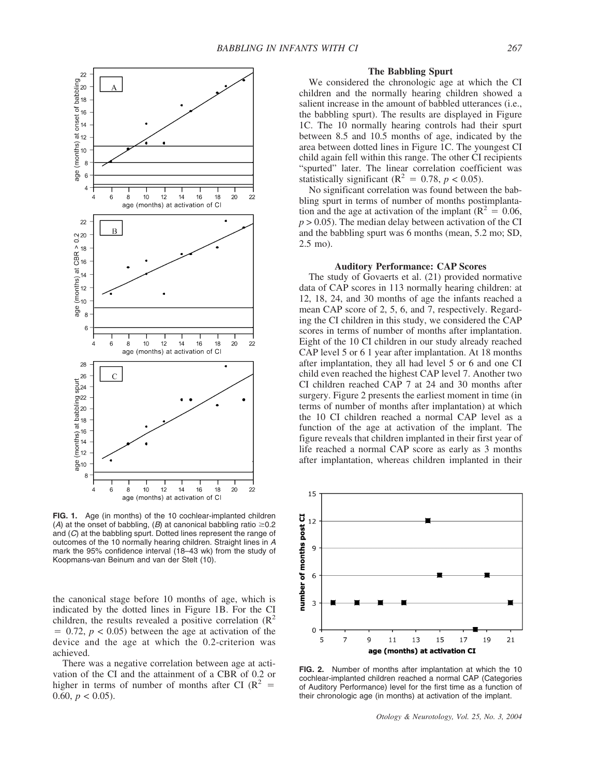

**FIG. 1.** Age (in months) of the 10 cochlear-implanted children (A) at the onset of babbling,  $(B)$  at canonical babbling ratio  $\geq 0.2$ and (*C*) at the babbling spurt. Dotted lines represent the range of outcomes of the 10 normally hearing children. Straight lines in *A* mark the 95% confidence interval (18–43 wk) from the study of Koopmans-van Beinum and van der Stelt (10).

the canonical stage before 10 months of age, which is indicated by the dotted lines in Figure 1B. For the CI children, the results revealed a positive correlation  $(R^2)$  $= 0.72$ ,  $p < 0.05$ ) between the age at activation of the device and the age at which the 0.2-criterion was achieved.

There was a negative correlation between age at activation of the CI and the attainment of a CBR of 0.2 or higher in terms of number of months after CI ( $\mathbb{R}^2$  = 0.60,  $p < 0.05$ ).

#### **The Babbling Spurt**

We considered the chronologic age at which the CI children and the normally hearing children showed a salient increase in the amount of babbled utterances (i.e., the babbling spurt). The results are displayed in Figure 1C. The 10 normally hearing controls had their spurt between 8.5 and 10.5 months of age, indicated by the area between dotted lines in Figure 1C. The youngest CI child again fell within this range. The other CI recipients "spurted" later. The linear correlation coefficient was statistically significant ( $\mathbb{R}^2 = 0.78$ ,  $p < 0.05$ ).

No significant correlation was found between the babbling spurt in terms of number of months postimplantation and the age at activation of the implant ( $R^2 = 0.06$ ,  $p > 0.05$ ). The median delay between activation of the CI and the babbling spurt was 6 months (mean, 5.2 mo; SD, 2.5 mo).

#### **Auditory Performance: CAP Scores**

The study of Govaerts et al. (21) provided normative data of CAP scores in 113 normally hearing children: at 12, 18, 24, and 30 months of age the infants reached a mean CAP score of 2, 5, 6, and 7, respectively. Regarding the CI children in this study, we considered the CAP scores in terms of number of months after implantation. Eight of the 10 CI children in our study already reached CAP level 5 or 6 1 year after implantation. At 18 months after implantation, they all had level 5 or 6 and one CI child even reached the highest CAP level 7. Another two CI children reached CAP 7 at 24 and 30 months after surgery. Figure 2 presents the earliest moment in time (in terms of number of months after implantation) at which the 10 CI children reached a normal CAP level as a function of the age at activation of the implant. The figure reveals that children implanted in their first year of life reached a normal CAP score as early as 3 months after implantation, whereas children implanted in their



**FIG. 2.** Number of months after implantation at which the 10 cochlear-implanted children reached a normal CAP (Categories of Auditory Performance) level for the first time as a function of their chronologic age (in months) at activation of the implant.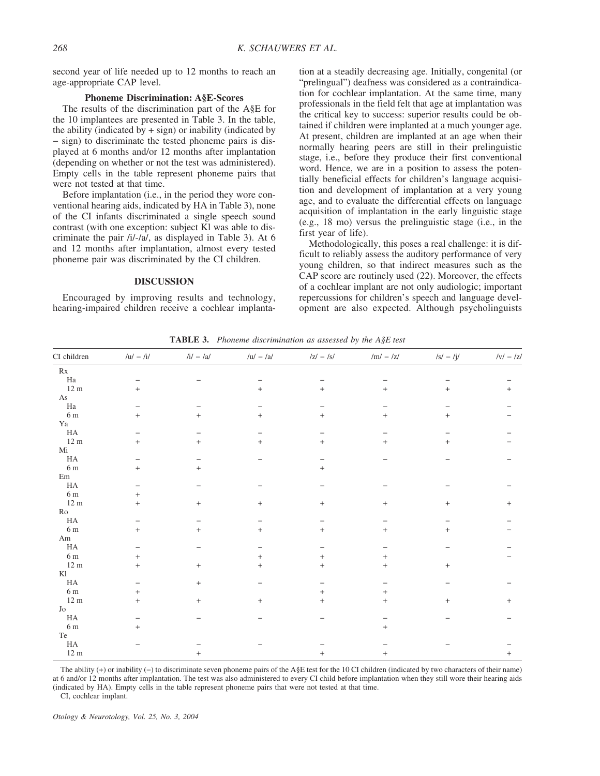second year of life needed up to 12 months to reach an age-appropriate CAP level.

#### **Phoneme Discrimination: A§E-Scores**

The results of the discrimination part of the A§E for the 10 implantees are presented in Table 3. In the table, the ability (indicated by  $+$  sign) or inability (indicated by − sign) to discriminate the tested phoneme pairs is displayed at 6 months and/or 12 months after implantation (depending on whether or not the test was administered). Empty cells in the table represent phoneme pairs that were not tested at that time.

Before implantation (i.e., in the period they wore conventional hearing aids, indicated by HA in Table 3), none of the CI infants discriminated a single speech sound contrast (with one exception: subject Kl was able to discriminate the pair /i/-/a/, as displayed in Table 3). At 6 and 12 months after implantation, almost every tested phoneme pair was discriminated by the CI children.

### **DISCUSSION**

Encouraged by improving results and technology, hearing-impaired children receive a cochlear implanta-

tion at a steadily decreasing age. Initially, congenital (or "prelingual") deafness was considered as a contraindication for cochlear implantation. At the same time, many professionals in the field felt that age at implantation was the critical key to success: superior results could be obtained if children were implanted at a much younger age. At present, children are implanted at an age when their normally hearing peers are still in their prelinguistic stage, i.e., before they produce their first conventional word. Hence, we are in a position to assess the potentially beneficial effects for children's language acquisition and development of implantation at a very young age, and to evaluate the differential effects on language acquisition of implantation in the early linguistic stage (e.g., 18 mo) versus the prelinguistic stage (i.e., in the first year of life).

Methodologically, this poses a real challenge: it is difficult to reliably assess the auditory performance of very young children, so that indirect measures such as the CAP score are routinely used (22). Moreover, the effects of a cochlear implant are not only audiologic; important repercussions for children's speech and language development are also expected. Although psycholinguists

**TABLE 3.** *Phoneme discrimination as assessed by the A§E test* CI children  $/u - Ii$ /  $li - l\alpha$  /u/ − /a/  $l\alpha$  /z/ − /s/ /m/ − /z/ /s/ − /j/ /v/ − /z/

| Rx                  |                                  |                                  |        |        |           |        |        |
|---------------------|----------------------------------|----------------------------------|--------|--------|-----------|--------|--------|
| $\rm Ha$            |                                  |                                  |        |        |           |        |        |
| $12 \text{ m}$      | $+$                              |                                  | $+$    | $+$    | $^{+}$    | $+$    | $^{+}$ |
| $\rm As$            |                                  |                                  |        |        |           |        |        |
| $\rm Ha$            |                                  |                                  |        |        |           |        |        |
| 6 m                 | $+$                              | $+$                              | $^{+}$ | $+$    | $^{+}$    | $+$    |        |
| ${\it Ya}$          |                                  |                                  |        |        |           |        |        |
| $\rm HA$            |                                  |                                  |        |        |           |        |        |
| $12 \text{ m}$      | $\begin{array}{c} + \end{array}$ | $^{+}$                           | $+$    | $+$    | $^{+}$    | $^{+}$ |        |
| Mi                  |                                  |                                  |        |        |           |        |        |
| ${\rm HA}$          |                                  |                                  |        |        |           |        |        |
| $6\ {\rm m}$        | $+$                              | $+$                              |        | $+$    |           |        |        |
| $\rm Em$            |                                  |                                  |        |        |           |        |        |
| ${\rm HA}$          |                                  |                                  |        |        |           |        |        |
| $6\ {\rm m}$        | $\ddot{}$                        |                                  |        |        |           |        |        |
| $12 \text{ m}$      | $\ddot{}$                        | $^+$                             | $^{+}$ | $^{+}$ | $^{+}$    | $^{+}$ | $^{+}$ |
| $\rm Ro$            |                                  |                                  |        |        |           |        |        |
| $_{\rm HA}$         |                                  |                                  |        |        |           |        |        |
| $6\ {\rm m}$        | $^{+}$                           | $^{+}$                           | $+$    | $+$    | $^{+}$    | $^{+}$ |        |
| $\rm{Am}$           |                                  |                                  |        |        |           |        |        |
| HA                  |                                  |                                  |        |        |           |        |        |
| $6\:\rm m$          | $\ddot{}$                        |                                  | $^{+}$ | $^{+}$ | $^{+}$    |        |        |
| $12\ {\rm m}$       | $+$                              | $^{+}$                           | $^{+}$ | $+$    | $\ddot{}$ | $^{+}$ |        |
| Kl                  |                                  |                                  |        |        |           |        |        |
| ${\rm HA}$          |                                  | $^{+}$                           |        |        |           |        |        |
| $6\ {\rm m}$        | $+$                              |                                  |        | $+$    | $^{+}$    |        |        |
| $12\ {\rm m}$       | $^{+}$                           | $\begin{array}{c} + \end{array}$ | $^{+}$ | $^{+}$ | $^{+}$    | $^{+}$ | $^{+}$ |
| ${\rm Jo}$          |                                  |                                  |        |        |           |        |        |
| $\rm HA$            |                                  |                                  |        |        |           |        |        |
| $6\ {\rm m}$        | $+$                              |                                  |        |        | $^{+}$    |        |        |
| $\operatorname{Te}$ |                                  |                                  |        |        |           |        |        |
| ${\rm HA}$          |                                  |                                  |        |        |           |        |        |
| $12\ {\rm m}$       |                                  | $^{+}$                           |        | $^{+}$ | $^{+}$    |        | $+$    |

The ability (+) or inability (−) to discriminate seven phoneme pairs of the A§E test for the 10 CI children (indicated by two characters of their name) at 6 and/or 12 months after implantation. The test was also administered to every CI child before implantation when they still wore their hearing aids (indicated by HA). Empty cells in the table represent phoneme pairs that were not tested at that time.

CI, cochlear implant.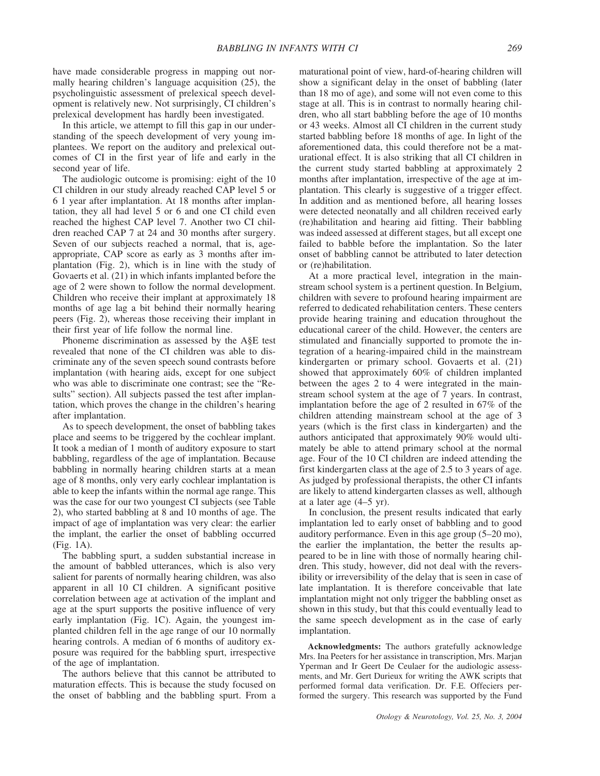have made considerable progress in mapping out normally hearing children's language acquisition (25), the psycholinguistic assessment of prelexical speech development is relatively new. Not surprisingly, CI children's prelexical development has hardly been investigated.

In this article, we attempt to fill this gap in our understanding of the speech development of very young implantees. We report on the auditory and prelexical outcomes of CI in the first year of life and early in the second year of life.

The audiologic outcome is promising: eight of the 10 CI children in our study already reached CAP level 5 or 6 1 year after implantation. At 18 months after implantation, they all had level 5 or 6 and one CI child even reached the highest CAP level 7. Another two CI children reached CAP 7 at 24 and 30 months after surgery. Seven of our subjects reached a normal, that is, ageappropriate, CAP score as early as 3 months after implantation (Fig. 2), which is in line with the study of Govaerts et al. (21) in which infants implanted before the age of 2 were shown to follow the normal development. Children who receive their implant at approximately 18 months of age lag a bit behind their normally hearing peers (Fig. 2), whereas those receiving their implant in their first year of life follow the normal line.

Phoneme discrimination as assessed by the A§E test revealed that none of the CI children was able to discriminate any of the seven speech sound contrasts before implantation (with hearing aids, except for one subject who was able to discriminate one contrast; see the "Results" section). All subjects passed the test after implantation, which proves the change in the children's hearing after implantation.

As to speech development, the onset of babbling takes place and seems to be triggered by the cochlear implant. It took a median of 1 month of auditory exposure to start babbling, regardless of the age of implantation. Because babbling in normally hearing children starts at a mean age of 8 months, only very early cochlear implantation is able to keep the infants within the normal age range. This was the case for our two youngest CI subjects (see Table 2), who started babbling at 8 and 10 months of age. The impact of age of implantation was very clear: the earlier the implant, the earlier the onset of babbling occurred (Fig. 1A).

The babbling spurt, a sudden substantial increase in the amount of babbled utterances, which is also very salient for parents of normally hearing children, was also apparent in all 10 CI children. A significant positive correlation between age at activation of the implant and age at the spurt supports the positive influence of very early implantation (Fig. 1C). Again, the youngest implanted children fell in the age range of our 10 normally hearing controls. A median of 6 months of auditory exposure was required for the babbling spurt, irrespective of the age of implantation.

The authors believe that this cannot be attributed to maturation effects. This is because the study focused on the onset of babbling and the babbling spurt. From a

maturational point of view, hard-of-hearing children will show a significant delay in the onset of babbling (later than 18 mo of age), and some will not even come to this stage at all. This is in contrast to normally hearing children, who all start babbling before the age of 10 months or 43 weeks. Almost all CI children in the current study started babbling before 18 months of age. In light of the aforementioned data, this could therefore not be a maturational effect. It is also striking that all CI children in the current study started babbling at approximately 2 months after implantation, irrespective of the age at implantation. This clearly is suggestive of a trigger effect. In addition and as mentioned before, all hearing losses were detected neonatally and all children received early (re)habilitation and hearing aid fitting. Their babbling was indeed assessed at different stages, but all except one failed to babble before the implantation. So the later onset of babbling cannot be attributed to later detection or (re)habilitation.

At a more practical level, integration in the mainstream school system is a pertinent question. In Belgium, children with severe to profound hearing impairment are referred to dedicated rehabilitation centers. These centers provide hearing training and education throughout the educational career of the child. However, the centers are stimulated and financially supported to promote the integration of a hearing-impaired child in the mainstream kindergarten or primary school. Govaerts et al. (21) showed that approximately 60% of children implanted between the ages 2 to 4 were integrated in the mainstream school system at the age of 7 years. In contrast, implantation before the age of 2 resulted in 67% of the children attending mainstream school at the age of 3 years (which is the first class in kindergarten) and the authors anticipated that approximately 90% would ultimately be able to attend primary school at the normal age. Four of the 10 CI children are indeed attending the first kindergarten class at the age of 2.5 to 3 years of age. As judged by professional therapists, the other CI infants are likely to attend kindergarten classes as well, although at a later age (4–5 yr).

In conclusion, the present results indicated that early implantation led to early onset of babbling and to good auditory performance. Even in this age group (5–20 mo), the earlier the implantation, the better the results appeared to be in line with those of normally hearing children. This study, however, did not deal with the reversibility or irreversibility of the delay that is seen in case of late implantation. It is therefore conceivable that late implantation might not only trigger the babbling onset as shown in this study, but that this could eventually lead to the same speech development as in the case of early implantation.

**Acknowledgments:** The authors gratefully acknowledge Mrs. Ina Peeters for her assistance in transcription, Mrs. Marjan Yperman and Ir Geert De Ceulaer for the audiologic assessments, and Mr. Gert Durieux for writing the AWK scripts that performed formal data verification. Dr. F.E. Offeciers performed the surgery. This research was supported by the Fund